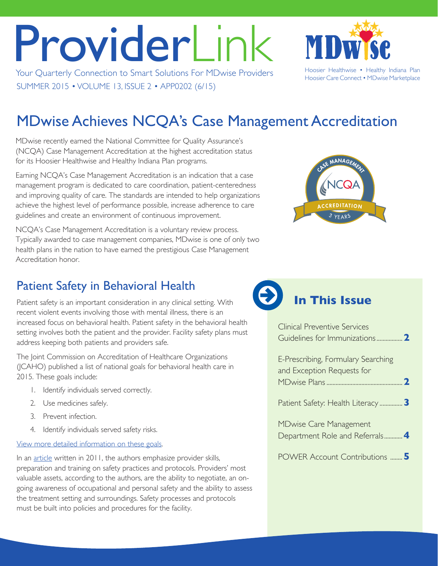# ProviderLink

Your Quarterly Connection to Smart Solutions For MDwise Providers Hoosier Healthwise • Healthy Indiana Plan SUMMER 2015 • VOLUME 13, ISSUE 2 • APP0202 (6/15)

Hoosier Care Connect • MDwise Marketplace

# MDwise Achieves NCQA's Case Management Accreditation

MDwise recently earned the National Committee for Quality Assurance's (NCQA) Case Management Accreditation at the highest accreditation status for its Hoosier Healthwise and Healthy Indiana Plan programs.

Earning NCQA's Case Management Accreditation is an indication that a case management program is dedicated to care coordination, patient-centeredness and improving quality of care. The standards are intended to help organizations achieve the highest level of performance possible, increase adherence to care guidelines and create an environment of continuous improvement.

NCQA's Case Management Accreditation is a voluntary review process. Typically awarded to case management companies, MDwise is one of only two health plans in the nation to have earned the prestigious Case Management Accreditation honor.



## Patient Safety in Behavioral Health

Patient safety is an important consideration in any clinical setting. With recent violent events involving those with mental illness, there is an increased focus on behavioral health. Patient safety in the behavioral health setting involves both the patient and the provider. Facility safety plans must address keeping both patients and providers safe.

The Joint Commission on Accreditation of Healthcare Organizations (JCAHO) published a list of national goals for behavioral health care in 2015. These goals include:

- 1. Identify individuals served correctly.
- 2. Use medicines safely.
- 3. Prevent infection.
- 4. Identify individuals served safety risks.

[View more detailed information on these goals.](http://www.jointcommission.org/assets/1/6/2015_NPSG_BHC.pdf)

In an [article](http://www.behavioral.net/article/why-safety-needs-be-built) written in 2011, the authors emphasize provider skills, preparation and training on safety practices and protocols. Providers' most valuable assets, according to the authors, are the ability to negotiate, an ongoing awareness of occupational and personal safety and the ability to assess the treatment setting and surroundings. Safety processes and protocols must be built into policies and procedures for the facility.

## **In This Issue**

| Clinical Preventive Services                                     |
|------------------------------------------------------------------|
| E-Prescribing, Formulary Searching<br>and Exception Requests for |
| Patient Safety: Health Literacy  3                               |
| <b>MDwise Care Management</b><br>Department Role and Referrals 4 |
| <b>POWER Account Contributions  5</b>                            |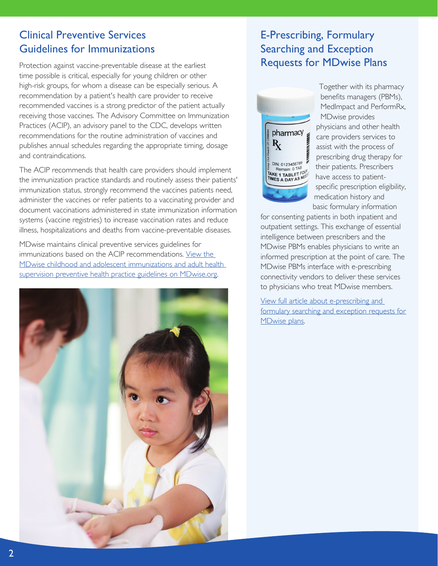#### <span id="page-1-0"></span>Clinical Preventive Services Guidelines for Immunizations

Protection against vaccine-preventable disease at the earliest time possible is critical, especially for young children or other high-risk groups, for whom a disease can be especially serious. A recommendation by a patient's health care provider to receive recommended vaccines is a strong predictor of the patient actually receiving those vaccines. The Advisory Committee on Immunization Practices (ACIP), an advisory panel to the CDC, develops written recommendations for the routine administration of vaccines and publishes annual schedules regarding the appropriate timing, dosage and contraindications.

The ACIP recommends that health care providers should implement the immunization practice standards and routinely assess their patients' immunization status, strongly recommend the vaccines patients need, administer the vaccines or refer patients to a vaccinating provider and document vaccinations administered in state immunization information systems (vaccine registries) to increase vaccination rates and reduce illness, hospitalizations and deaths from vaccine-preventable diseases.

MDwise maintains clinical preventive services guidelines for immunizations based on the ACIP recommendations. [View the](http://www.mdwise.org/for-providers/tools-and-resources/preventive-health-guidelines/)  [MDwise childhood and adolescent immunizations and adult health](http://www.mdwise.org/for-providers/tools-and-resources/preventive-health-guidelines/)  [supervision preventive health practice guidelines on MDwise.org.](http://www.mdwise.org/for-providers/tools-and-resources/preventive-health-guidelines/)



#### E-Prescribing, Formulary Searching and Exception Requests for MDwise Plans



Together with its pharmacy benefits managers (PBMs), MedImpact and PerformRx, MDwise provides physicians and other health care providers services to assist with the process of prescribing drug therapy for their patients. Prescribers have access to patientspecific prescription eligibility, medication history and basic formulary information

for consenting patients in both inpatient and outpatient settings. This exchange of essential intelligence between prescribers and the MDwise PBMs enables physicians to write an informed prescription at the point of care. The MDwise PBMs interface with e-prescribing connectivity vendors to deliver these services to physicians who treat MDwise members.

[View full article about e-prescribing and](http://mdwise.org/MediaLibraries/MDwise/Files/For%20Providers/Provider%20Newsletter/PharmacyArticle_ProviderLinkSummer15.pdf)  [formulary searching and exception requests for](http://mdwise.org/MediaLibraries/MDwise/Files/For%20Providers/Provider%20Newsletter/PharmacyArticle_ProviderLinkSummer15.pdf)  [MDwise plans.](http://mdwise.org/MediaLibraries/MDwise/Files/For%20Providers/Provider%20Newsletter/PharmacyArticle_ProviderLinkSummer15.pdf)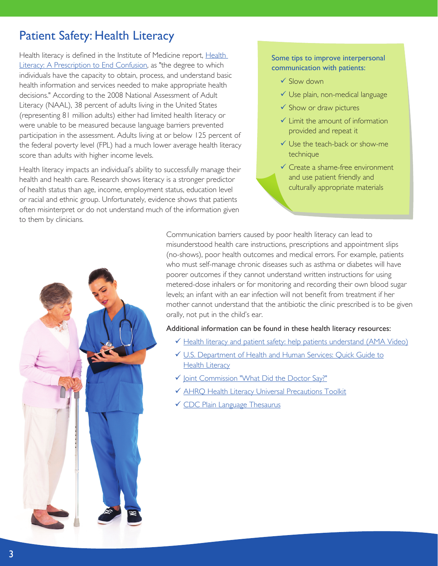### <span id="page-2-0"></span>Patient Safety: Health Literacy

[Health](http://www.nap.edu/catalog.php?record_id=10883) literacy is defined in the Institute of Medicine report, Health [Literacy: A Prescription to End Confusion,](http://www.nap.edu/catalog.php?record_id=10883) as "the degree to which individuals have the capacity to obtain, process, and understand basic health information and services needed to make appropriate health decisions." According to the 2008 National Assessment of Adult Literacy (NAAL), 38 percent of adults living in the United States (representing 81 million adults) either had limited health literacy or were unable to be measured because language barriers prevented participation in the assessment. Adults living at or below 125 percent of the federal poverty level (FPL) had a much lower average health literacy score than adults with higher income levels.

Health literacy impacts an individual's ability to successfully manage their health and health care. Research shows literacy is a stronger predictor of health status than age, income, employment status, education level or racial and ethnic group. Unfortunately, evidence shows that patients often misinterpret or do not understand much of the information given to them by clinicians.

#### Some tips to improve interpersonal communication with patients:

- $\checkmark$  Slow down
- $\checkmark$  Use plain, non-medical language
- $\checkmark$  Show or draw pictures
- $\checkmark$  Limit the amount of information provided and repeat it
- $\checkmark$  Use the teach-back or show-me technique
- $\checkmark$  Create a shame-free environment and use patient friendly and culturally appropriate materials



Communication barriers caused by poor health literacy can lead to misunderstood health care instructions, prescriptions and appointment slips (no-shows), poor health outcomes and medical errors. For example, patients who must self-manage chronic diseases such as asthma or diabetes will have poorer outcomes if they cannot understand written instructions for using metered-dose inhalers or for monitoring and recording their own blood sugar levels; an infant with an ear infection will not benefit from treatment if her mother cannot understand that the antibiotic the clinic prescribed is to be given orally, not put in the child's ear.

#### Additional information can be found in these health literacy resources:

- [Health literacy and patient safety: help patients understand \(AMA Video\)](http://www.ama-assn.org/ama/pub/about-ama/ama-foundation/our-programs/public-health/health-literacy-program/health-literacy-video.page)
- ü [U.S. Department of Health and Human Services: Quick Guide to](http://www.health.gov/communication/literacy/quickguide/) **[Health Literacy](http://www.health.gov/communication/literacy/quickguide/)**
- √ [Joint Commission "What Did the Doctor Say?"](http://www.jointcommission.org/What_Did_the_Doctor_Say/)
- $\checkmark$  AHRO Health Literacy Universal Precautions Toolkit
- **v** [CDC Plain Language Thesaurus](http://depts.washington.edu/respcare/public/info/Plain_Language_Thesaurus_for_Health_Communications.pdf)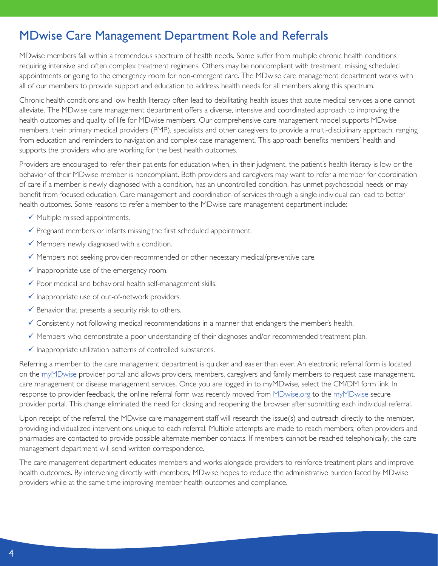### <span id="page-3-0"></span>MDwise Care Management Department Role and Referrals

MDwise members fall within a tremendous spectrum of health needs. Some suffer from multiple chronic health conditions requiring intensive and often complex treatment regimens. Others may be noncompliant with treatment, missing scheduled appointments or going to the emergency room for non-emergent care. The MDwise care management department works with all of our members to provide support and education to address health needs for all members along this spectrum.

Chronic health conditions and low health literacy often lead to debilitating health issues that acute medical services alone cannot alleviate. The MDwise care management department offers a diverse, intensive and coordinated approach to improving the health outcomes and quality of life for MDwise members. Our comprehensive care management model supports MDwise members, their primary medical providers (PMP), specialists and other caregivers to provide a multi-disciplinary approach, ranging from education and reminders to navigation and complex case management. This approach benefits members' health and supports the providers who are working for the best health outcomes.

Providers are encouraged to refer their patients for education when, in their judgment, the patient's health literacy is low or the behavior of their MDwise member is noncompliant. Both providers and caregivers may want to refer a member for coordination of care if a member is newly diagnosed with a condition, has an uncontrolled condition, has unmet psychosocial needs or may benefit from focused education. Care management and coordination of services through a single individual can lead to better health outcomes. Some reasons to refer a member to the MDwise care management department include:

- $\checkmark$  Multiple missed appointments.
- $\checkmark$  Pregnant members or infants missing the first scheduled appointment.
- $\checkmark$  Members newly diagnosed with a condition.
- $\checkmark$  Members not seeking provider-recommended or other necessary medical/preventive care.
- $\checkmark$  Inappropriate use of the emergency room.
- $\checkmark$  Poor medical and behavioral health self-management skills.
- $\checkmark$  Inappropriate use of out-of-network providers.
- $\checkmark$  Behavior that presents a security risk to others.
- $\checkmark$  Consistently not following medical recommendations in a manner that endangers the member's health.
- $\checkmark$  Members who demonstrate a poor understanding of their diagnoses and/or recommended treatment plan.
- $\checkmark$  Inappropriate utilization patterns of controlled substances.

Referring a member to the care management department is quicker and easier than ever. An electronic referral form is located on the [myMDwise](https://secure.healthx.com/mymdwiseprovider.aspx) provider portal and allows providers, members, caregivers and family members to request case management, care management or disease management services. Once you are logged in to myMDwise, select the CM/DM form link. In response to provider feedback, the online referral form was recently moved from [MDwise.org](http://www.mdwise.org/for-providers/forms/care-management/) to the [myMDwise](https://secure.healthx.com/mymdwiseprovider.aspx) secure provider portal. This change eliminated the need for closing and reopening the browser after submitting each individual referral.

Upon receipt of the referral, the MDwise care management staff will research the issue(s) and outreach directly to the member, providing individualized interventions unique to each referral. Multiple attempts are made to reach members; often providers and pharmacies are contacted to provide possible alternate member contacts. If members cannot be reached telephonically, the care management department will send written correspondence.

The care management department educates members and works alongside providers to reinforce treatment plans and improve health outcomes. By intervening directly with members, MDwise hopes to reduce the administrative burden faced by MDwise providers while at the same time improving member health outcomes and compliance.